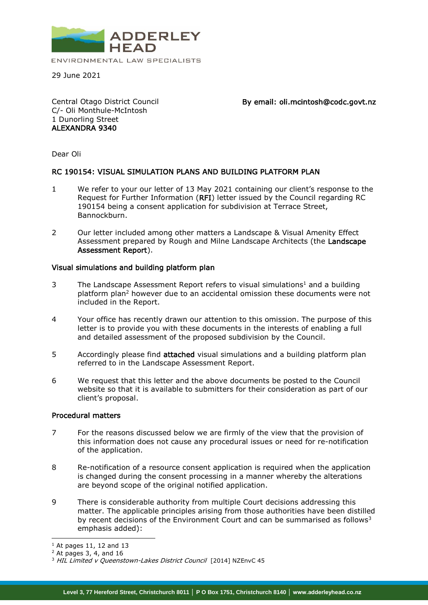

29 June 2021

Central Otago District Council C/- Oli Monthule-McIntosh 1 Dunorling Street ALEXANDRA 9340

By email: oli.mcintosh@codc.govt.nz

Dear Oli

## RC 190154: VISUAL SIMULATION PLANS AND BUILDING PLATFORM PLAN

- 1 We refer to your our letter of 13 May 2021 containing our client's response to the Request for Further Information (RFI) letter issued by the Council regarding RC 190154 being a consent application for subdivision at Terrace Street, Bannockburn.
- 2 Our letter included among other matters a Landscape & Visual Amenity Effect Assessment prepared by Rough and Milne Landscape Architects (the Landscape Assessment Report).

## Visual simulations and building platform plan

- 3 The Landscape Assessment Report refers to visual simulations<sup>1</sup> and a building platform plan<sup>2</sup> however due to an accidental omission these documents were not included in the Report.
- 4 Your office has recently drawn our attention to this omission. The purpose of this letter is to provide you with these documents in the interests of enabling a full and detailed assessment of the proposed subdivision by the Council.
- 5 Accordingly please find **attached** visual simulations and a building platform plan referred to in the Landscape Assessment Report.
- 6 We request that this letter and the above documents be posted to the Council website so that it is available to submitters for their consideration as part of our client's proposal.

## Procedural matters

- 7 For the reasons discussed below we are firmly of the view that the provision of this information does not cause any procedural issues or need for re-notification of the application.
- 8 Re-notification of a resource consent application is required when the application is changed during the consent processing in a manner whereby the alterations are beyond scope of the original notified application.
- 9 There is considerable authority from multiple Court decisions addressing this matter. The applicable principles arising from those authorities have been distilled by recent decisions of the Environment Court and can be summarised as follows<sup>3</sup> emphasis added):

-

 $<sup>1</sup>$  At pages 11, 12 and 13</sup>

 $2$  At pages 3, 4, and 16

<sup>&</sup>lt;sup>3</sup> HIL Limited v Queenstown-Lakes District Council [2014] NZEnvC 45